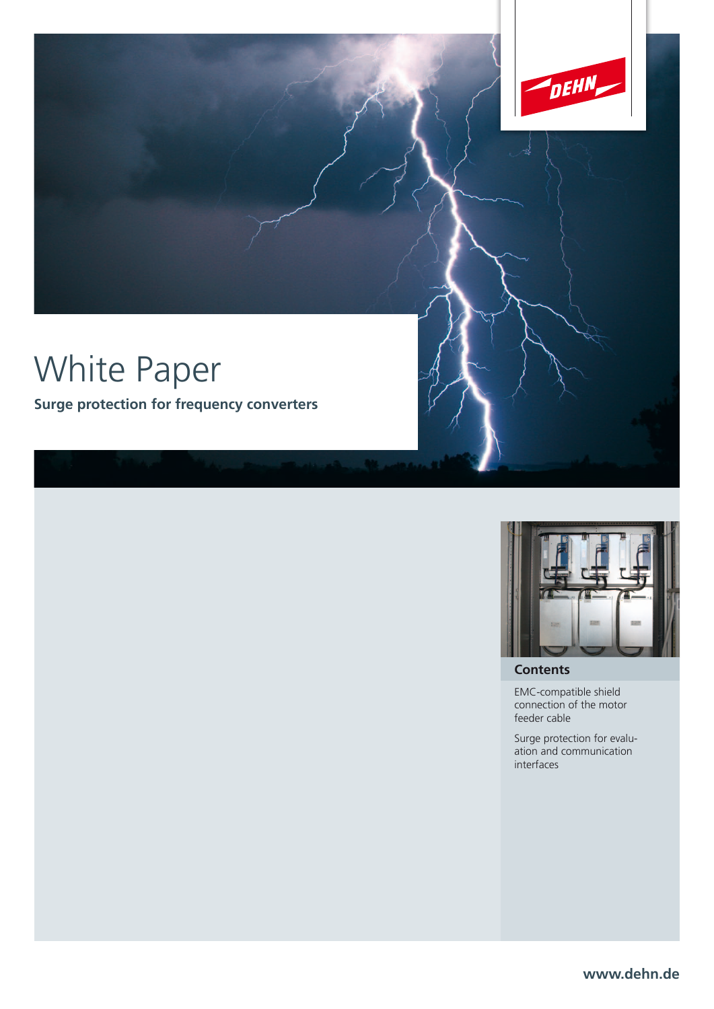



**Contents**

EMC-compatible shield connection of the motor feeder cable

Surge protection for evaluation and communication interfaces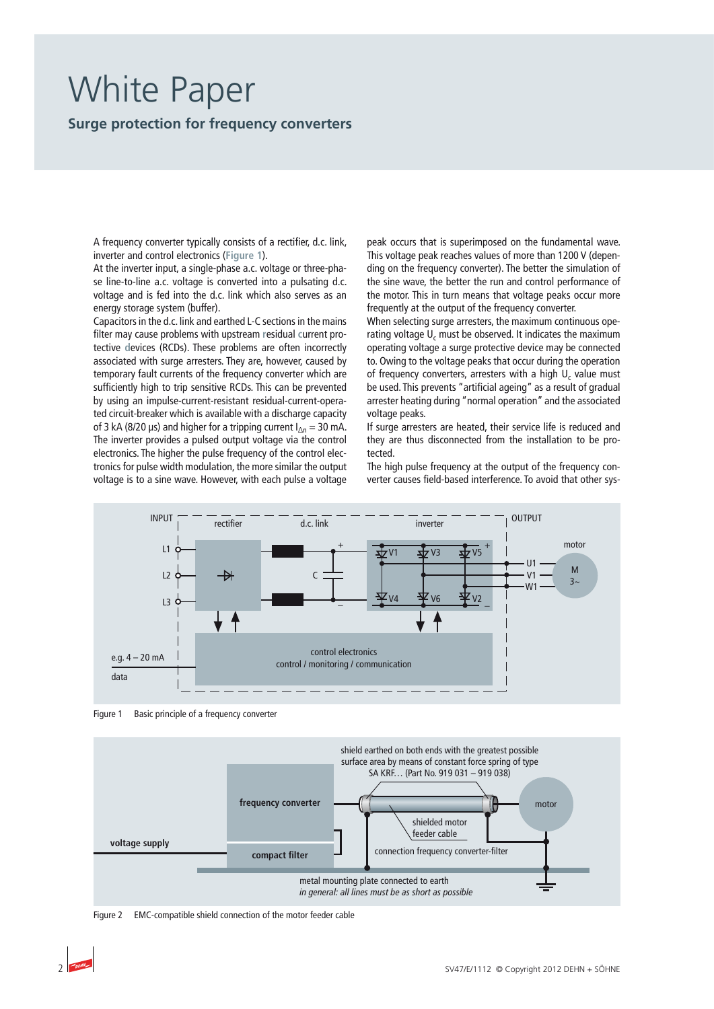## White Paper **Surge protection for frequency converters**

A frequency converter typically consists of a rectifier, d.c. link, inverter and control electronics (**Figure 1**).

At the inverter input, a single-phase a.c. voltage or three-phase line-to-line a.c. voltage is converted into a pulsating d.c. voltage and is fed into the d.c. link which also serves as an energy storage system (buffer).

Capacitors in the d.c. link and earthed L-C sections in the mains filter may cause problems with upstream **r**esidual **c**urrent protective **d**evices (RCDs). These problems are often incorrectly associated with surge arresters. They are, however, caused by temporary fault currents of the frequency converter which are sufficiently high to trip sensitive RCDs. This can be prevented by using an impulse-current-resistant residual-current-operated circuit-breaker which is available with a discharge capacity of 3 kA (8/20 µs) and higher for a tripping current  $I_{\Delta n} = 30$  mA. The inverter provides a pulsed output voltage via the control electronics. The higher the pulse frequency of the control electronics for pulse width modulation, the more similar the output voltage is to a sine wave. However, with each pulse a voltage

peak occurs that is superimposed on the fundamental wave. This voltage peak reaches values of more than 1200 V (depending on the frequency converter). The better the simulation of the sine wave, the better the run and control performance of the motor. This in turn means that voltage peaks occur more frequently at the output of the frequency converter.

When selecting surge arresters, the maximum continuous operating voltage  $U_c$  must be observed. It indicates the maximum operating voltage a surge protective device may be connected to. Owing to the voltage peaks that occur during the operation of frequency converters, arresters with a high  $U_c$  value must be used. This prevents "artificial ageing" as a result of gradual arrester heating during "normal operation" and the associated voltage peaks.

If surge arresters are heated, their service life is reduced and they are thus disconnected from the installation to be protected.

The high pulse frequency at the output of the frequency converter causes field-based interference. To avoid that other sys-



Figure 1 Basic principle of a frequency converter



Figure 2 EMC-compatible shield connection of the motor feeder cable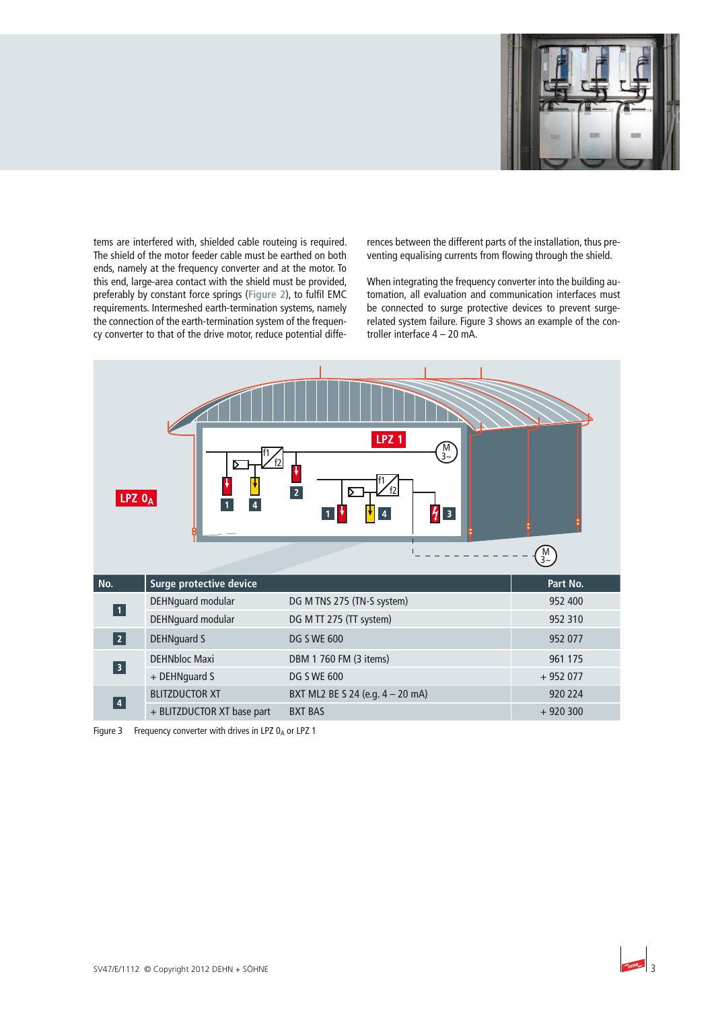

tems are interfered with, shielded cable routeing is required. The shield of the motor feeder cable must be earthed on both ends, namely at the frequency converter and at the motor. To this end, large-area contact with the shield must be provided, preferably by constant force springs (**Figure 2**), to fulfil EMC requirements. Intermeshed earth-termination systems, namely the connection of the earth-termination system of the frequency converter to that of the drive motor, reduce potential differences between the different parts of the installation, thus preventing equalising currents from flowing through the shield.

When integrating the frequency converter into the building automation, all evaluation and communication interfaces must be connected to surge protective devices to prevent surgerelated system failure. Figure 3 shows an example of the controller interface 4 – 20 mA.



Figure 3 Frequency converter with drives in LPZ  $0_A$  or LPZ 1